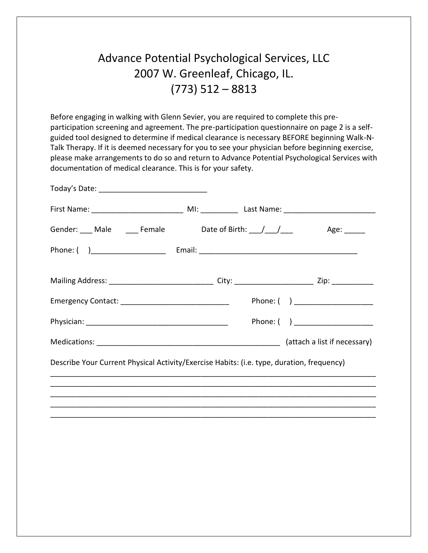# Advance Potential Psychological Services, LLC 2007 W. Greenleaf, Chicago, IL. (773) 512 – 8813

Before engaging in walking with Glenn Sevier, you are required to complete this preparticipation screening and agreement. The pre-participation questionnaire on page 2 is a selfguided tool designed to determine if medical clearance is necessary BEFORE beginning Walk-N-Talk Therapy. If it is deemed necessary for you to see your physician before beginning exercise, please make arrangements to do so and return to Advance Potential Psychological Services with documentation of medical clearance. This is for your safety.

| Gender: ___ Male _____ Female _____ Date of Birth: ___/___/____                           |  | Age: ______                     |
|-------------------------------------------------------------------------------------------|--|---------------------------------|
|                                                                                           |  |                                 |
|                                                                                           |  |                                 |
|                                                                                           |  | Phone: ( ) ____________________ |
|                                                                                           |  |                                 |
|                                                                                           |  |                                 |
| Describe Your Current Physical Activity/Exercise Habits: (i.e. type, duration, frequency) |  |                                 |
|                                                                                           |  |                                 |
|                                                                                           |  |                                 |
|                                                                                           |  |                                 |
|                                                                                           |  |                                 |
|                                                                                           |  |                                 |
|                                                                                           |  |                                 |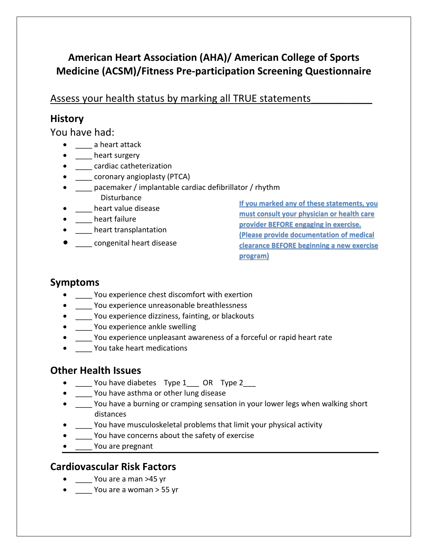## **American Heart Association (AHA)/ American College of Sports Medicine (ACSM)/Fitness Pre-participation Screening Questionnaire**

#### Assess your health status by marking all TRUE statements\_\_\_\_\_\_\_\_\_\_\_

#### **History**

You have had:

- \_\_\_\_ a heart attack
- \_\_\_\_ heart surgery
- **\_\_\_\_** cardiac catheterization
- \_\_\_\_ coronary angioplasty (PTCA)
- \_\_\_\_ pacemaker / implantable cardiac defibrillator / rhythm **Disturbance**
- \_\_\_\_ heart value disease
- \_\_\_\_ heart failure
- \_\_\_\_ heart transplantation
- $\bullet$  congenital heart disease

**If you marked any of these statements, you must consult your physician or health care provider BEFORE engaging in exercise. (Please provide documentation of medical clearance BEFORE beginning a new exercise program)**

#### **Symptoms**

- \_\_\_\_ You experience chest discomfort with exertion
- \_\_\_\_ You experience unreasonable breathlessness
- \_\_\_\_ You experience dizziness, fainting, or blackouts
- \_\_\_\_ You experience ankle swelling
- You experience unpleasant awareness of a forceful or rapid heart rate
- \_\_\_\_\_ You take heart medications

#### **Other Health Issues**

- You have diabetes Type 1 OR Type 2
- \_\_\_\_ You have asthma or other lung disease
- You have a burning or cramping sensation in your lower legs when walking short distances
- \_\_\_\_ You have musculoskeletal problems that limit your physical activity
- You have concerns about the safety of exercise
- \_\_\_\_ You are pregnant

### **Cardiovascular Risk Factors**

- You are a man >45 yr
- You are a woman > 55 yr